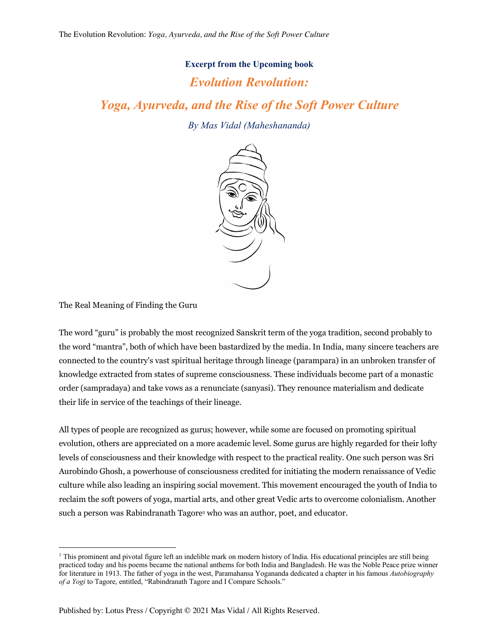## **Excerpt from the Upcoming book**

## *Evolution Revolution:*

*Yoga, Ayurveda, and the Rise of the Soft Power Culture*

*By Mas Vidal (Maheshananda)*



The Real Meaning of Finding the Guru

The word "guru" is probably the most recognized Sanskrit term of the yoga tradition, second probably to the word "mantra", both of which have been bastardized by the media. In India, many sincere teachers are connected to the country's vast spiritual heritage through lineage (parampara) in an unbroken transfer of knowledge extracted from states of supreme consciousness. These individuals become part of a monastic order (sampradaya) and take vows as a renunciate (sanyasi). They renounce materialism and dedicate their life in service of the teachings of their lineage.

All types of people are recognized as gurus; however, while some are focused on promoting spiritual evolution, others are appreciated on a more academic level. Some gurus are highly regarded for their lofty levels of consciousness and their knowledge with respect to the practical reality. One such person was Sri Aurobindo Ghosh, a powerhouse of consciousness credited for initiating the modern renaissance of Vedic culture while also leading an inspiring social movement. This movement encouraged the youth of India to reclaim the soft powers of yoga, martial arts, and other great Vedic arts to overcome colonialism. Another such a person was Rabindranath Tagore<sup>1</sup> who was an author, poet, and educator.

<sup>&</sup>lt;sup>1</sup> This prominent and pivotal figure left an indelible mark on modern history of India. His educational principles are still being practiced today and his poems became the national anthems for both India and Bangladesh. He was the Noble Peace prize winner for literature in 1913. The father of yoga in the west, Paramahansa Yogananda dedicated a chapter in his famous *Autobiography of a Yogi* to Tagore, entitled, "Rabindranath Tagore and I Compare Schools."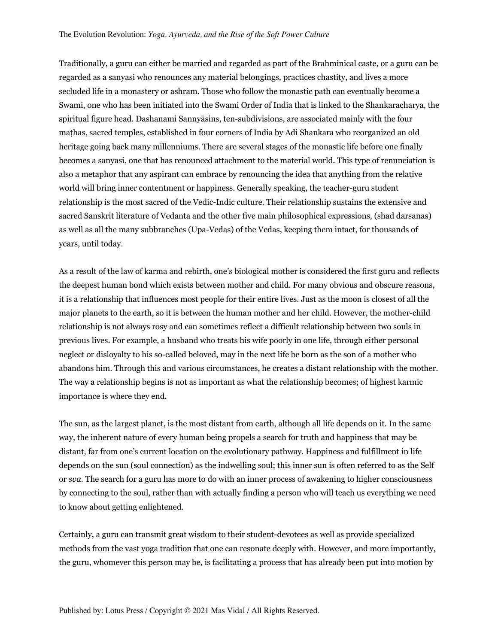Traditionally, a guru can either be married and regarded as part of the Brahminical caste, or a guru can be regarded as a sanyasi who renounces any material belongings, practices chastity, and lives a more secluded life in a monastery or ashram. Those who follow the monastic path can eventually become a Swami, one who has been initiated into the Swami Order of India that is linked to the Shankaracharya, the spiritual figure head. Dashanami Sannyāsins, ten-subdivisions, are associated mainly with the four maṭhas, sacred temples, established in four corners of India by Adi Shankara who reorganized an old heritage going back many millenniums. There are several stages of the monastic life before one finally becomes a sanyasi, one that has renounced attachment to the material world. This type of renunciation is also a metaphor that any aspirant can embrace by renouncing the idea that anything from the relative world will bring inner contentment or happiness. Generally speaking, the teacher-guru student relationship is the most sacred of the Vedic-Indic culture. Their relationship sustains the extensive and sacred Sanskrit literature of Vedanta and the other five main philosophical expressions, (shad darsanas) as well as all the many subbranches (Upa-Vedas) of the Vedas, keeping them intact, for thousands of years, until today.

As a result of the law of karma and rebirth, one's biological mother is considered the first guru and reflects the deepest human bond which exists between mother and child. For many obvious and obscure reasons, it is a relationship that influences most people for their entire lives. Just as the moon is closest of all the major planets to the earth, so it is between the human mother and her child. However, the mother-child relationship is not always rosy and can sometimes reflect a difficult relationship between two souls in previous lives. For example, a husband who treats his wife poorly in one life, through either personal neglect or disloyalty to his so-called beloved, may in the next life be born as the son of a mother who abandons him. Through this and various circumstances, he creates a distant relationship with the mother. The way a relationship begins is not as important as what the relationship becomes; of highest karmic importance is where they end.

The sun, as the largest planet, is the most distant from earth, although all life depends on it. In the same way, the inherent nature of every human being propels a search for truth and happiness that may be distant, far from one's current location on the evolutionary pathway. Happiness and fulfillment in life depends on the sun (soul connection) as the indwelling soul; this inner sun is often referred to as the Self or *sva*. The search for a guru has more to do with an inner process of awakening to higher consciousness by connecting to the soul, rather than with actually finding a person who will teach us everything we need to know about getting enlightened.

Certainly, a guru can transmit great wisdom to their student-devotees as well as provide specialized methods from the vast yoga tradition that one can resonate deeply with. However, and more importantly, the guru, whomever this person may be, is facilitating a process that has already been put into motion by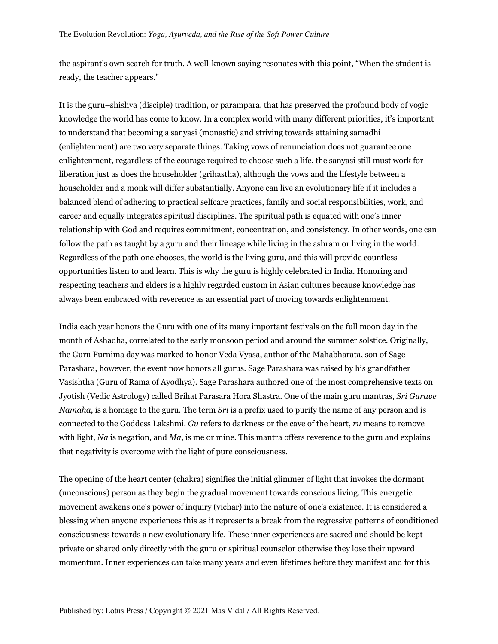the aspirant's own search for truth. A well-known saying resonates with this point, "When the student is ready, the teacher appears."

It is the guru–shishya (disciple) tradition, or parampara, that has preserved the profound body of yogic knowledge the world has come to know. In a complex world with many different priorities, it's important to understand that becoming a sanyasi (monastic) and striving towards attaining samadhi (enlightenment) are two very separate things. Taking vows of renunciation does not guarantee one enlightenment, regardless of the courage required to choose such a life, the sanyasi still must work for liberation just as does the householder (grihastha), although the vows and the lifestyle between a householder and a monk will differ substantially. Anyone can live an evolutionary life if it includes a balanced blend of adhering to practical selfcare practices, family and social responsibilities, work, and career and equally integrates spiritual disciplines. The spiritual path is equated with one's inner relationship with God and requires commitment, concentration, and consistency. In other words, one can follow the path as taught by a guru and their lineage while living in the ashram or living in the world. Regardless of the path one chooses, the world is the living guru, and this will provide countless opportunities listen to and learn. This is why the guru is highly celebrated in India. Honoring and respecting teachers and elders is a highly regarded custom in Asian cultures because knowledge has always been embraced with reverence as an essential part of moving towards enlightenment.

India each year honors the Guru with one of its many important festivals on the full moon day in the month of Ashadha, correlated to the early monsoon period and around the summer solstice. Originally, the Guru Purnima day was marked to honor Veda Vyasa, author of the Mahabharata, son of Sage Parashara, however, the event now honors all gurus. Sage Parashara was raised by his grandfather Vasishtha (Guru of Rama of Ayodhya). Sage Parashara authored one of the most comprehensive texts on Jyotish (Vedic Astrology) called Brihat Parasara Hora Shastra. One of the main guru mantras, *Sri Gurave Namaha*, is a homage to the guru. The term *Sri* is a prefix used to purify the name of any person and is connected to the Goddess Lakshmi. *Gu* refers to darkness or the cave of the heart, *ru* means to remove with light, *Na* is negation, and *Ma*, is me or mine. This mantra offers reverence to the guru and explains that negativity is overcome with the light of pure consciousness.

The opening of the heart center (chakra) signifies the initial glimmer of light that invokes the dormant (unconscious) person as they begin the gradual movement towards conscious living. This energetic movement awakens one's power of inquiry (vichar) into the nature of one's existence. It is considered a blessing when anyone experiences this as it represents a break from the regressive patterns of conditioned consciousness towards a new evolutionary life. These inner experiences are sacred and should be kept private or shared only directly with the guru or spiritual counselor otherwise they lose their upward momentum. Inner experiences can take many years and even lifetimes before they manifest and for this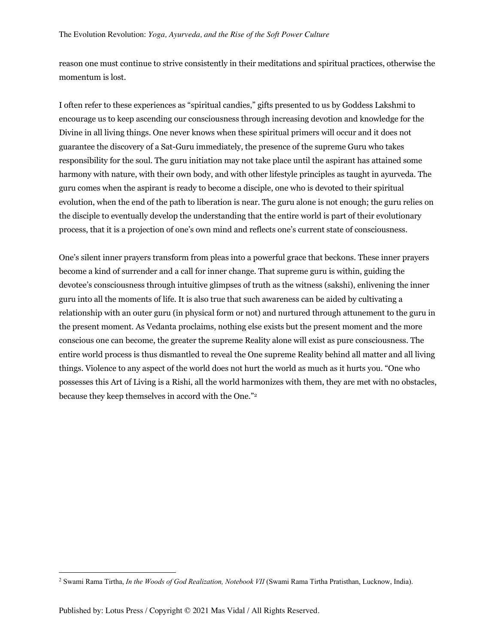reason one must continue to strive consistently in their meditations and spiritual practices, otherwise the momentum is lost.

I often refer to these experiences as "spiritual candies," gifts presented to us by Goddess Lakshmi to encourage us to keep ascending our consciousness through increasing devotion and knowledge for the Divine in all living things. One never knows when these spiritual primers will occur and it does not guarantee the discovery of a Sat-Guru immediately, the presence of the supreme Guru who takes responsibility for the soul. The guru initiation may not take place until the aspirant has attained some harmony with nature, with their own body, and with other lifestyle principles as taught in ayurveda. The guru comes when the aspirant is ready to become a disciple, one who is devoted to their spiritual evolution, when the end of the path to liberation is near. The guru alone is not enough; the guru relies on the disciple to eventually develop the understanding that the entire world is part of their evolutionary process, that it is a projection of one's own mind and reflects one's current state of consciousness.

One's silent inner prayers transform from pleas into a powerful grace that beckons. These inner prayers become a kind of surrender and a call for inner change. That supreme guru is within, guiding the devotee's consciousness through intuitive glimpses of truth as the witness (sakshi), enlivening the inner guru into all the moments of life. It is also true that such awareness can be aided by cultivating a relationship with an outer guru (in physical form or not) and nurtured through attunement to the guru in the present moment. As Vedanta proclaims, nothing else exists but the present moment and the more conscious one can become, the greater the supreme Reality alone will exist as pure consciousness. The entire world process is thus dismantled to reveal the One supreme Reality behind all matter and all living things. Violence to any aspect of the world does not hurt the world as much as it hurts you. "One who possesses this Art of Living is a Rishi, all the world harmonizes with them, they are met with no obstacles, because they keep themselves in accord with the One."2

<sup>2</sup> Swami Rama Tirtha, *In the Woods of God Realization, Notebook VII* (Swami Rama Tirtha Pratisthan, Lucknow, India).